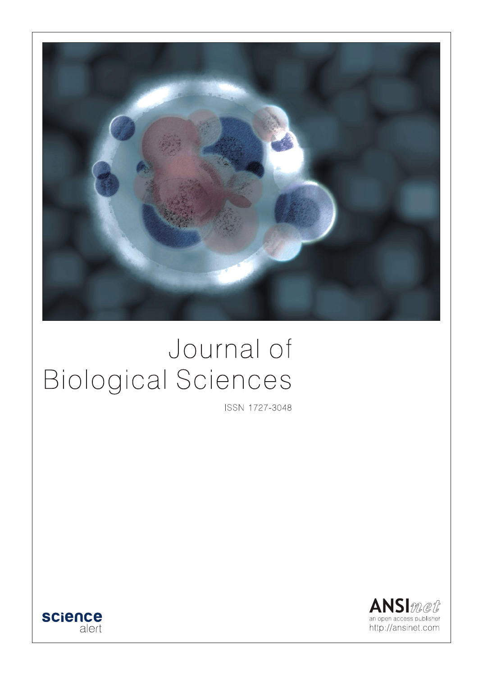

# Journal of **Biological Sciences**

ISSN 1727-3048



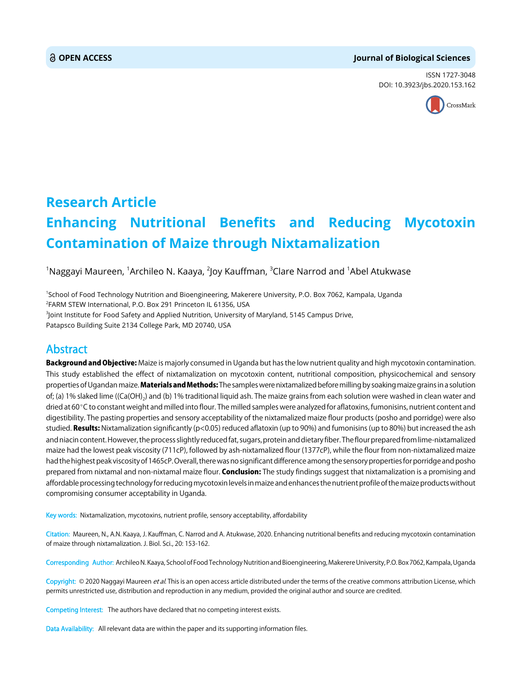#### **OPEN ACCESS Journal of Biological Sciences**

ISSN 1727-3048 DOI: 10.3923/jbs.2020.153.162



## **Research Article Enhancing Nutritional Benefits and Reducing Mycotoxin Contamination of Maize through Nixtamalization**

 $^{\rm 1}$ Naggayi Maureen,  $^{\rm 1}$ Archileo N. Kaaya,  $^{\rm 2}$ Joy Kauffman,  $^{\rm 3}$ Clare Narrod and  $^{\rm 1}$ Abel Atukwase

1 School of Food Technology Nutrition and Bioengineering, Makerere University, P.O. Box 7062, Kampala, Uganda 2 FARM STEW International, P.O. Box 291 Princeton IL 61356, USA

3 Joint Institute for Food Safety and Applied Nutrition, University of Maryland, 5145 Campus Drive, Patapsco Building Suite 2134 College Park, MD 20740, USA

### Abstract

Background and Objective: Maize is majorly consumed in Uganda but has the low nutrient quality and high mycotoxin contamination. This study established the effect of nixtamalization on mycotoxin content, nutritional composition, physicochemical and sensory properties of Ugandan maize. Materials and Methods: The samples were nixtamalized before milling by soaking maize grains in a solution of; (a) 1% slaked lime ((Ca(OH)<sub>2</sub>) and (b) 1% traditional liquid ash. The maize grains from each solution were washed in clean water and dried at 60°C to constant weight and milled into flour. The milled samples were analyzed for aflatoxins, fumonisins, nutrient content and digestibility. The pasting properties and sensory acceptability of the nixtamalized maize flour products (posho and porridge) were also studied. Results: Nixtamalization significantly ( $p<0.05$ ) reduced aflatoxin (up to 90%) and fumonisins (up to 80%) but increased the ash and niacin content. However, the process slightly reduced fat, sugars, protein and dietary fiber. The flour prepared from lime-nixtamalized maize had the lowest peak viscosity (711cP), followed by ash-nixtamalized flour (1377cP), while the flour from non-nixtamalized maize had the highest peak viscosity of 1465cP. Overall, there was no significant difference among the sensory properties for porridge and posho prepared from nixtamal and non-nixtamal maize flour. **Conclusion:** The study findings suggest that nixtamalization is a promising and affordable processing technology for reducing mycotoxin levels in maize and enhances the nutrient profile of the maize products without compromising consumer acceptability in Uganda.

Key words: Nixtamalization, mycotoxins, nutrient profile, sensory acceptability, affordability

Citation: Maureen, N., A.N. Kaaya, J. Kauffman, C. Narrod and A. Atukwase, 2020. Enhancing nutritional benefits and reducing mycotoxin contamination of maize through nixtamalization. J. Biol. Sci., 20: 153-162.

Corresponding Author: Archileo N. Kaaya, School of Food Technology Nutrition and Bioengineering, Makerere University, P.O. Box 7062, Kampala, Uganda

Copyright: © 2020 Naggayi Maureen et al. This is an open access article distributed under the terms of the creative commons attribution License, which permits unrestricted use, distribution and reproduction in any medium, provided the original author and source are credited.

Competing Interest: The authors have declared that no competing interest exists.

Data Availability: All relevant data are within the paper and its supporting information files.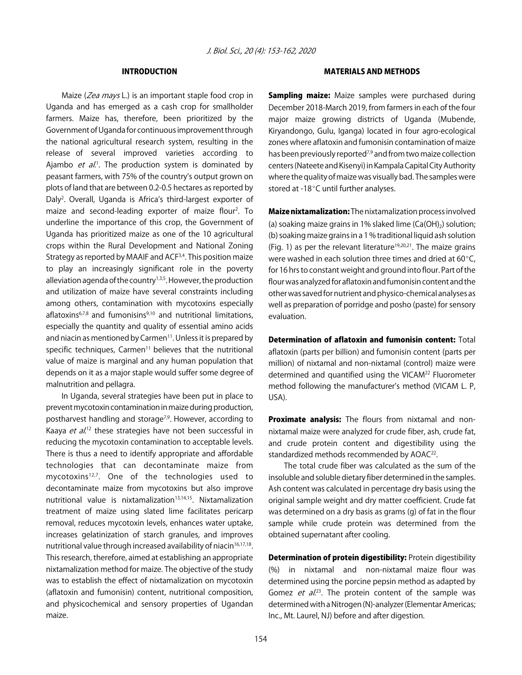#### INTRODUCTION

Maize (Zea mays L.) is an important staple food crop in Uganda and has emerged as a cash crop for smallholder farmers. Maize has, therefore, been prioritized by the Government of Uganda for continuous improvement through the national agricultural research system, resulting in the release of several improved varieties according to Ajambo et al.<sup>1</sup>. The production system is dominated by peasant farmers, with 75% of the country's output grown on plots of land that are between 0.2-0.5 hectares as reported by Daly<sup>2</sup>. Overall, Uganda is Africa's third-largest exporter of maize and second-leading exporter of maize flour<sup>2</sup>. To underline the importance of this crop, the Government of Uganda has prioritized maize as one of the 10 agricultural crops within the Rural Development and National Zoning Strategy as reported by MAAIF and ACF<sup>3,4</sup>. This position maize to play an increasingly significant role in the poverty alleviation agenda of the country $1,3,5$ . However, the production and utilization of maize have several constraints including among others, contamination with mycotoxins especially aflatoxins<sup>6,7,8</sup> and fumonisins<sup>9,10</sup> and nutritional limitations, especially the quantity and quality of essential amino acids and niacin as mentioned by Carmen<sup>11</sup>. Unless it is prepared by specific techniques, Carmen<sup>11</sup> believes that the nutritional value of maize is marginal and any human population that depends on it as a major staple would suffer some degree of malnutrition and pellagra.

In Uganda, several strategies have been put in place to prevent mycotoxin contamination in maize during production, postharvest handling and storage<sup>7,9</sup>. However, according to Kaaya et al.<sup>12</sup> these strategies have not been successful in reducing the mycotoxin contamination to acceptable levels. There is thus a need to identify appropriate and affordable technologies that can decontaminate maize from mycotoxins12,7. One of the technologies used to decontaminate maize from mycotoxins but also improve nutritional value is nixtamalization $13,14,15$ . Nixtamalization treatment of maize using slated lime facilitates pericarp removal, reduces mycotoxin levels, enhances water uptake, increases gelatinization of starch granules, and improves nutritional value through increased availability of niacin<sup>16,17,18</sup>. This research, therefore, aimed at establishing an appropriate nixtamalization method for maize. The objective of the study was to establish the effect of nixtamalization on mycotoxin (aflatoxin and fumonisin) content, nutritional composition, and physicochemical and sensory properties of Ugandan maize.

#### MATERIALS AND METHODS

**Sampling maize:** Maize samples were purchased during December 2018-March 2019, from farmers in each of the four major maize growing districts of Uganda (Mubende, Kiryandongo, Gulu, Iganga) located in four agro-ecological zones where aflatoxin and fumonisin contamination of maize has been previously reported<sup>7,9</sup> and from two maize collection centers (Nateete and Kisenyi) in Kampala Capital City Authority where the quality of maize was visually bad. The samples were stored at -18 $^{\circ}$ C until further analyses.

Maize nixtamalization: The nixtamalization process involved (a) soaking maize grains in 1% slaked lime  $(Ca(OH)_2)$  solution; (b) soaking maize grains in a 1 % traditional liquid ash solution (Fig. 1) as per the relevant literature<sup>19,20,21</sup>. The maize grains were washed in each solution three times and dried at  $60^{\circ}$ C, for 16 hrs to constant weight and ground into flour. Part of the flour was analyzed for aflatoxin and fumonisin content and the other was saved for nutrient and physico-chemical analyses as well as preparation of porridge and posho (paste) for sensory evaluation.

Determination of aflatoxin and fumonisin content: Total aflatoxin (parts per billion) and fumonisin content (parts per million) of nixtamal and non-nixtamal (control) maize were determined and quantified using the VICAM<sup>22</sup> Fluorometer method following the manufacturer's method (VICAM L. P, USA).

Proximate analysis: The flours from nixtamal and nonnixtamal maize were analyzed for crude fiber, ash, crude fat, and crude protein content and digestibility using the standardized methods recommended by AOAC<sup>22</sup>.

The total crude fiber was calculated as the sum of the insoluble and soluble dietary fiber determined in the samples. Ash content was calculated in percentage dry basis using the original sample weight and dry matter coefficient. Crude fat was determined on a dry basis as grams (g) of fat in the flour sample while crude protein was determined from the obtained supernatant after cooling.

Determination of protein digestibility: Protein digestibility (%) in nixtamal and non-nixtamal maize flour was determined using the porcine pepsin method as adapted by Gomez *et al.*<sup>23</sup>. The protein content of the sample was determined with a Nitrogen (N)-analyzer (Elementar Americas; Inc., Mt. Laurel, NJ) before and after digestion.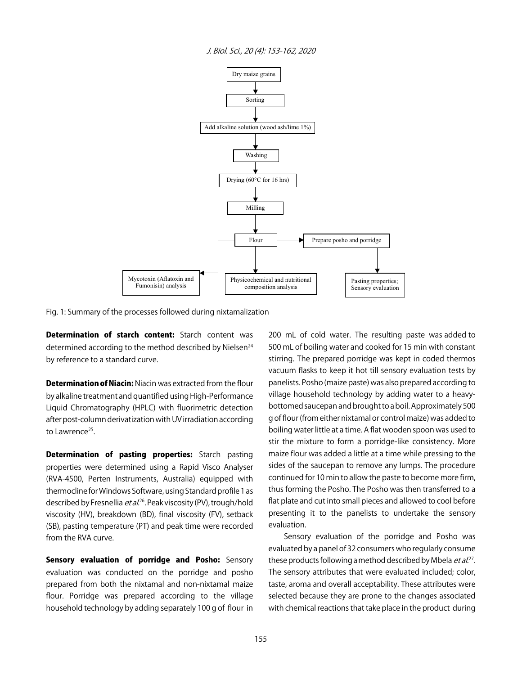



Fig. 1: Summary of the processes followed during nixtamalization

**Determination of starch content:** Starch content was determined according to the method described by Nielsen<sup>24</sup> by reference to a standard curve.

**Determination of Niacin: Niacin was extracted from the flour** by alkaline treatment and quantified using High-Performance Liquid Chromatography (HPLC) with fluorimetric detection after post-column derivatization with UV irradiation according to Lawrence<sup>25</sup>.

Determination of pasting properties: Starch pasting properties were determined using a Rapid Visco Analyser (RVA-4500, Perten Instruments, Australia) equipped with thermocline for Windows Software, using Standard profile 1 as described by Fresnellia *et al*.<sup>26</sup>. Peak viscosity (PV), trough/hold viscosity (HV), breakdown (BD), final viscosity (FV), setback (SB), pasting temperature (PT) and peak time were recorded from the RVA curve.

Sensory evaluation of porridge and Posho: Sensory evaluation was conducted on the porridge and posho prepared from both the nixtamal and non-nixtamal maize flour. Porridge was prepared according to the village household technology by adding separately 100 g of flour in

200 mL of cold water. The resulting paste was added to 500 mL of boiling water and cooked for 15 min with constant stirring. The prepared porridge was kept in coded thermos vacuum flasks to keep it hot till sensory evaluation tests by panelists. Posho (maize paste) was also prepared according to village household technology by adding water to a heavybottomed saucepan and brought to a boil. Approximately 500 g of flour (from either nixtamal or control maize) was added to boiling water little at a time. A flat wooden spoon was used to stir the mixture to form a porridge-like consistency. More maize flour was added a little at a time while pressing to the sides of the saucepan to remove any lumps. The procedure continued for 10 min to allow the paste to become more firm, thus forming the Posho. The Posho was then transferred to a flat plate and cut into small pieces and allowed to cool before presenting it to the panelists to undertake the sensory evaluation.

Sensory evaluation of the porridge and Posho was evaluated by a panel of 32 consumers who regularly consume these products following a method described by Mbela *et al*.<sup>27</sup>. The sensory attributes that were evaluated included; color, taste, aroma and overall acceptability. These attributes were selected because they are prone to the changes associated with chemical reactions that take place in the product during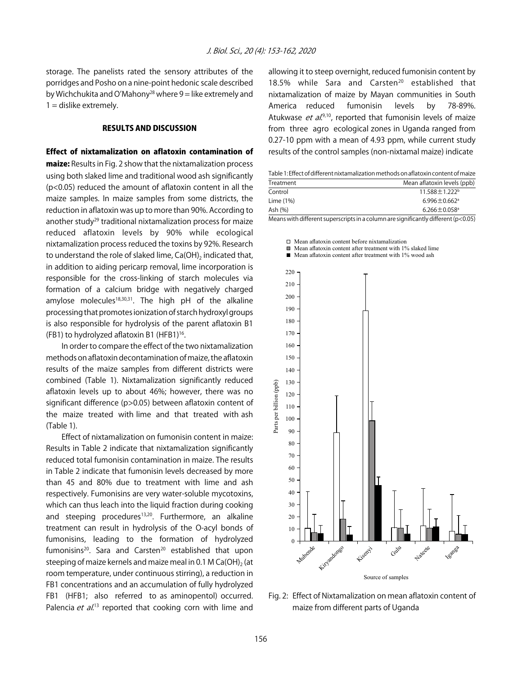storage. The panelists rated the sensory attributes of the porridges and Posho on a nine-point hedonic scale described by Wichchukita and O'Mahony<sup>28</sup> where  $9 =$  like extremely and  $1 =$  dislike extremely.

#### RESULTS AND DISCUSSION

Effect of nixtamalization on aflatoxin contamination of maize: Results in Fig. 2 show that the nixtamalization process using both slaked lime and traditional wood ash significantly (p<0.05) reduced the amount of aflatoxin content in all the maize samples. In maize samples from some districts, the reduction in aflatoxin was up to more than 90%. According to another study<sup>29</sup> traditional nixtamalization process for maize reduced aflatoxin levels by 90% while ecological nixtamalization process reduced the toxins by 92%. Research to understand the role of slaked lime, Ca(OH)<sub>2</sub> indicated that, in addition to aiding pericarp removal, lime incorporation is responsible for the cross-linking of starch molecules via formation of a calcium bridge with negatively charged amylose molecules<sup>18,30,31</sup>. The high pH of the alkaline processing that promotes ionization of starch hydroxyl groups is also responsible for hydrolysis of the parent aflatoxin B1 (FB1) to hydrolyzed aflatoxin B1 (HFB1) $16$ .

In order to compare the effect of the two nixtamalization methods on aflatoxin decontamination of maize, the aflatoxin results of the maize samples from different districts were combined (Table 1). Nixtamalization significantly reduced aflatoxin levels up to about 46%; however, there was no significant difference (p>0.05) between aflatoxin content of the maize treated with lime and that treated with ash (Table 1).

Effect of nixtamalization on fumonisin content in maize: Results in Table 2 indicate that nixtamalization significantly reduced total fumonisin contamination in maize. The results in Table 2 indicate that fumonisin levels decreased by more than 45 and 80% due to treatment with lime and ash respectively. Fumonisins are very water-soluble mycotoxins, which can thus leach into the liquid fraction during cooking and steeping procedures<sup>13,20</sup>. Furthermore, an alkaline treatment can result in hydrolysis of the O-acyl bonds of fumonisins, leading to the formation of hydrolyzed fumonisins<sup>20</sup>. Sara and Carsten<sup>20</sup> established that upon steeping of maize kernels and maize meal in 0.1 M Ca(OH)<sub>2</sub> (at room temperature, under continuous stirring), a reduction in FB1 concentrations and an accumulation of fully hydrolyzed FB1 (HFB1; also referred to as aminopentol) occurred. Palencia *et al.*<sup>13</sup> reported that cooking corn with lime and

allowing it to steep overnight, reduced fumonisin content by 18.5% while Sara and Carsten<sup>20</sup> established that nixtamalization of maize by Mayan communities in South America reduced fumonisin levels by 78-89%. Atukwase *et al.*<sup>9,10</sup>, reported that fumonisin levels of maize from three agro ecological zones in Uganda ranged from 0.27-10 ppm with a mean of 4.93 ppm, while current study results of the control samples (non-nixtamal maize) indicate

|  | Table 1: Effect of different nixtamalization methods on aflatoxin content of maize |  |  |   |  |  |  |
|--|------------------------------------------------------------------------------------|--|--|---|--|--|--|
|  |                                                                                    |  |  | . |  |  |  |

| Treatment            | Mean aflatoxin levels (ppb)                                                                  |
|----------------------|----------------------------------------------------------------------------------------------|
| Control              | $11.588 \pm 1.222$ <sup>b</sup>                                                              |
| Lime $(1%)$          | $6.996 \pm 0.662$ <sup>a</sup>                                                               |
| Ash (%)              | $6.266 \pm 0.058$ <sup>a</sup>                                                               |
| $\sim$ $\sim$ $\sim$ | $\sim$ $\sim$ $\sim$ $\sim$ $\sim$ $\sim$<br>$\sim$ $\sim$ $\sim$<br>$\sim$<br>$\sim$ $\sim$ |

Means with different superscripts in a column are significantly different (p<0.05)

Mean aflatoxin content before nixtamalization

Mean aflatoxin content after treatment with 1% slaked lime

 $\blacksquare$ Mean aflatoxin content after treatment with 1% wood ash



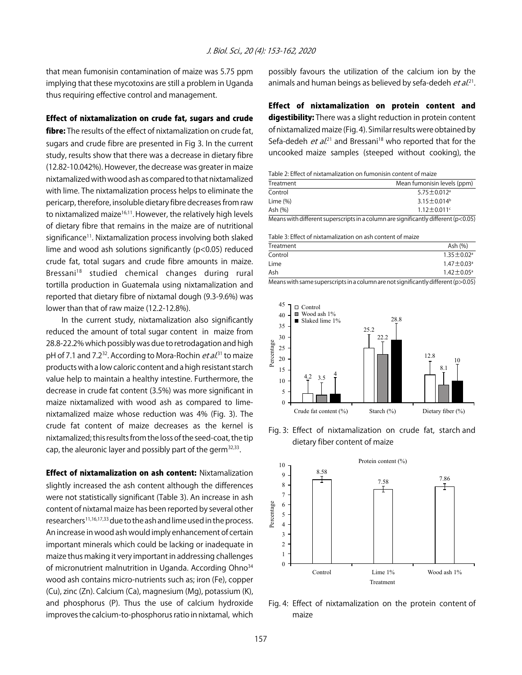that mean fumonisin contamination of maize was 5.75 ppm implying that these mycotoxins are still a problem in Uganda thus requiring effective control and management.

#### Effect of nixtamalization on crude fat, sugars and crude

fibre: The results of the effect of nixtamalization on crude fat, sugars and crude fibre are presented in Fig 3. In the current study, results show that there was a decrease in dietary fibre (12.82-10.042%). However, the decrease was greater in maize nixtamalized with wood ash as compared to that nixtamalized with lime. The nixtamalization process helps to eliminate the pericarp, therefore, insoluble dietary fibre decreases from raw to nixtamalized maize<sup>16,11</sup>. However, the relatively high levels of dietary fibre that remains in the maize are of nutritional significance<sup>11</sup>. Nixtamalization process involving both slaked lime and wood ash solutions significantly (p<0.05) reduced crude fat, total sugars and crude fibre amounts in maize. Bressani<sup>18</sup> studied chemical changes during rural tortilla production in Guatemala using nixtamalization and reported that dietary fibre of nixtamal dough (9.3-9.6%) was lower than that of raw maize (12.2-12.8%).

In the current study, nixtamalization also significantly reduced the amount of total sugar content in maize from 28.8-22.2% which possibly was due to retrodagation and high pH of 7.1 and 7.2<sup>32</sup>. According to Mora-Rochin *et al*.<sup>31</sup> to maize products with a low caloric content and a high resistant starch value help to maintain a healthy intestine. Furthermore, the decrease in crude fat content (3.5%) was more significant in maize nixtamalized with wood ash as compared to limenixtamalized maize whose reduction was 4% (Fig. 3). The crude fat content of maize decreases as the kernel is nixtamalized; this results from the loss of the seed-coat, the tip cap, the aleuronic layer and possibly part of the germ<sup>32,33</sup>.

Effect of nixtamalization on ash content: Nixtamalization slightly increased the ash content although the differences were not statistically significant (Table 3). An increase in ash content of nixtamal maize has been reported by several other researchers<sup>11,16,17,33</sup> due to the ash and lime used in the process. An increase in wood ash would imply enhancement of certain important minerals which could be lacking or inadequate in maize thus making it very important in addressing challenges of micronutrient malnutrition in Uganda. According Ohno<sup>34</sup> wood ash contains micro-nutrients such as; iron (Fe), copper (Cu), zinc (Zn). Calcium (Ca), magnesium (Mg), potassium (K), and phosphorus (P). Thus the use of calcium hydroxide improves the calcium-to-phosphorus ratio in nixtamal, which possibly favours the utilization of the calcium ion by the animals and human beings as believed by sefa-dedeh *et al*.<sup>21</sup>.

Effect of nixtamalization on protein content and digestibility: There was a slight reduction in protein content of nixtamalized maize (Fig. 4). Similar results were obtained by Sefa-dedeh *et al*.<sup>21</sup> and Bressani<sup>18</sup> who reported that for the uncooked maize samples (steeped without cooking), the

Table 2: Effect of nixtamalization on fumonisin content of maize

| Mean fumonisin levels (ppm)   |
|-------------------------------|
| $5.75 \pm 0.012$ <sup>a</sup> |
| $3.15 \pm 0.014$ <sup>b</sup> |
| $1.12 \pm 0.011$ <sup>c</sup> |
|                               |

Means with different superscripts in a column are significantly different (p<0.05)

Table 3: Effect of nixtamalization on ash content of maize

| Treatment | Ash (%)                      |
|-----------|------------------------------|
| Control   | $1.35 \pm 0.02$ <sup>a</sup> |
| Lime      | $1.47 \pm 0.03$ <sup>a</sup> |
| Ash       | $1.42 \pm 0.05^{\circ}$      |
|           |                              |





Fig. 3: Effect of nixtamalization on crude fat, starch and dietary fiber content of maize



Fig. 4: Effect of nixtamalization on the protein content of maize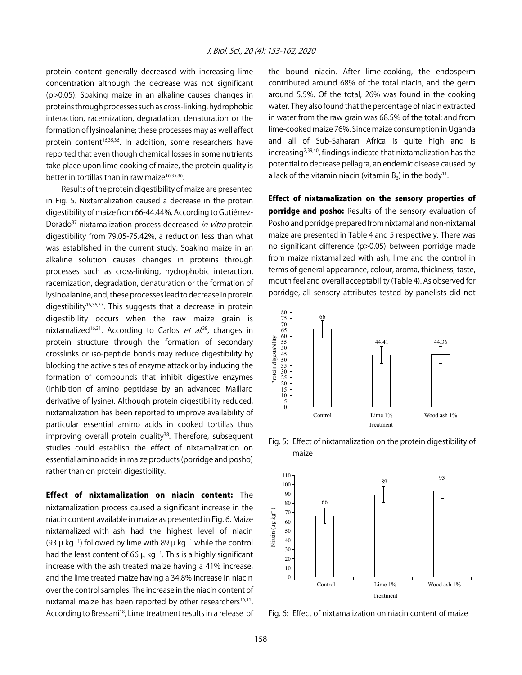protein content generally decreased with increasing lime concentration although the decrease was not significant (p>0.05). Soaking maize in an alkaline causes changes in proteins through processes such as cross-linking, hydrophobic interaction, racemization, degradation, denaturation or the formation of lysinoalanine; these processes may as well affect protein content<sup>16,35,36</sup>. In addition, some researchers have reported that even though chemical losses in some nutrients take place upon lime cooking of maize, the protein quality is better in tortillas than in raw maize<sup>16,35,36</sup>.

Results of the protein digestibility of maize are presented in Fig. 5. Nixtamalization caused a decrease in the protein digestibility of maize from 66-44.44%. According to Gutiérrez-Dorado<sup>37</sup> nixtamalization process decreased in vitro protein digestibility from 79.05-75.42%, a reduction less than what was established in the current study. Soaking maize in an alkaline solution causes changes in proteins through processes such as cross-linking, hydrophobic interaction, racemization, degradation, denaturation or the formation of lysinoalanine, and, these processes lead to decrease in protein digestibility<sup>16,36,37</sup>. This suggests that a decrease in protein digestibility occurs when the raw maize grain is nixtamalized<sup>16,31</sup>. According to Carlos *et al*.<sup>38</sup>, changes in protein structure through the formation of secondary crosslinks or iso-peptide bonds may reduce digestibility by blocking the active sites of enzyme attack or by inducing the formation of compounds that inhibit digestive enzymes (inhibition of amino peptidase by an advanced Maillard derivative of lysine). Although protein digestibility reduced, nixtamalization has been reported to improve availability of particular essential amino acids in cooked tortillas thus improving overall protein quality<sup>38</sup>. Therefore, subsequent studies could establish the effect of nixtamalization on essential amino acids in maize products (porridge and posho) rather than on protein digestibility.

Effect of nixtamalization on niacin content: The nixtamalization process caused a significant increase in the niacin content available in maize as presented in Fig. 6. Maize nixtamalized with ash had the highest level of niacin (93  $\mu$  kg<sup>-1</sup>) followed by lime with 89  $\mu$  kg<sup>-1</sup> while the control had the least content of 66  $\mu$  kg $^{-1}$ . This is a highly significant increase with the ash treated maize having a 41% increase, and the lime treated maize having a 34.8% increase in niacin over the control samples. The increase in the niacin content of nixtamal maize has been reported by other researchers $16,11$ . According to Bressani<sup>18</sup>, Lime treatment results in a release of the bound niacin. After lime-cooking, the endosperm contributed around 68% of the total niacin, and the germ around 5.5%. Of the total, 26% was found in the cooking water. They also found that the percentage of niacin extracted in water from the raw grain was 68.5% of the total; and from lime-cooked maize 76%. Since maize consumption in Uganda and all of Sub-Saharan Africa is quite high and is  $increasing<sup>2,39,40</sup>$ , findings indicate that nixtamalization has the potential to decrease pellagra, an endemic disease caused by a lack of the vitamin niacin (vitamin  $B_3$ ) in the body<sup>11</sup>.

Effect of nixtamalization on the sensory properties of porridge and posho: Results of the sensory evaluation of Posho and porridge prepared from nixtamal and non-nixtamal maize are presented in Table 4 and 5 respectively. There was no significant difference (p>0.05) between porridge made from maize nixtamalized with ash, lime and the control in terms of general appearance, colour, aroma, thickness, taste, mouth feel and overall acceptability (Table 4). As observed for porridge, all sensory attributes tested by panelists did not



Fig. 5: Effect of nixtamalization on the protein digestibility of maize



Fig. 6: Effect of nixtamalization on niacin content of maize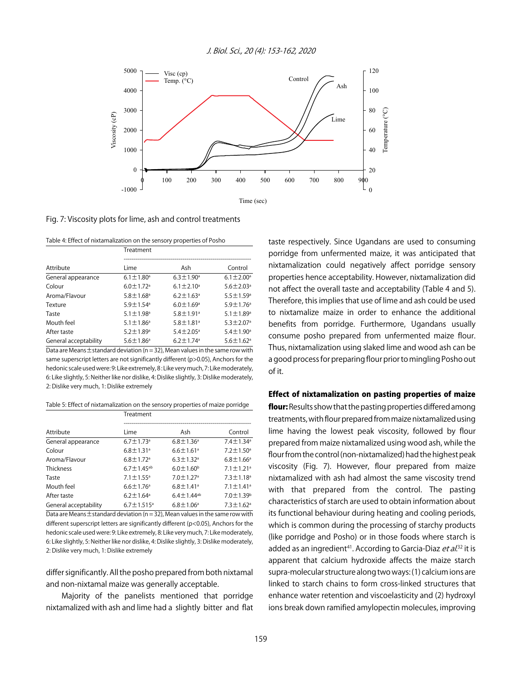

Fig. 7: Viscosity plots for lime, ash and control treatments

| Table 4: Effect of nixtamalization on the sensory properties of Posho |  |
|-----------------------------------------------------------------------|--|
|                                                                       |  |

|                       | Treatment                   |                             |                             |  |  |
|-----------------------|-----------------------------|-----------------------------|-----------------------------|--|--|
| Attribute             | l ime                       | Ash                         | Control                     |  |  |
| General appearance    | $6.1 \pm 1.80^a$            | $6.3 \pm 1.90^{\circ}$      | $6.1 \pm 2.00^{\circ}$      |  |  |
| Colour                | $6.0 \pm 1.72$ <sup>a</sup> | $6.1 \pm 2.10^a$            | $5.6 \pm 2.03$ <sup>a</sup> |  |  |
| Aroma/Flavour         | $5.8 \pm 1.68$ <sup>a</sup> | $6.2 \pm 1.63$ <sup>a</sup> | $5.5 \pm 1.59$ <sup>a</sup> |  |  |
| Texture               | $5.9 \pm 1.54$ <sup>a</sup> | $6.0 \pm 1.69$ <sup>a</sup> | $5.9 \pm 1.76$ <sup>a</sup> |  |  |
| Taste                 | $5.1 + 1.98$ <sup>a</sup>   | $5.8 + 1.91a$               | $5.1 \pm 1.89$ <sup>a</sup> |  |  |
| Mouth feel            | $5.1 \pm 1.86^a$            | $5.8 \pm 1.81$ <sup>a</sup> | $5.3 \pm 2.07$ <sup>a</sup> |  |  |
| After taste           | $5.2 \pm 1.89$ <sup>a</sup> | $5.4 \pm 2.05^{\circ}$      | $5.4 \pm 1.90^{\circ}$      |  |  |
| General acceptability | $5.6 \pm 1.86^a$            | $6.2 \pm 1.74$ <sup>a</sup> | $5.6 \pm 1.62$ <sup>a</sup> |  |  |

Data are Means  $\pm$  standard deviation (n = 32), Mean values in the same row with same superscript letters are not significantly different (p>0.05), Anchors for the hedonic scale used were: 9: Like extremely, 8 : Like very much, 7: Like moderately, 6: Like slightly, 5: Neither like nor dislike, 4: Dislike slightly, 3: Dislike moderately, 2: Dislike very much, 1: Dislike extremely

Table 5: Effect of nixtamalization on the sensory properties of maize porridge

|                       | Treatment                    |                             |                             |  |  |  |
|-----------------------|------------------------------|-----------------------------|-----------------------------|--|--|--|
| Attribute             | Lime                         | Ash                         | Control                     |  |  |  |
| General appearance    | $6.7 \pm 1.73$ <sup>a</sup>  | $6.8 \pm 1.36^a$            | $7.4 \pm 1.34^a$            |  |  |  |
| Colour                | $6.8 \pm 1.31$ <sup>a</sup>  | $6.6 \pm 1.61$ <sup>a</sup> | $7.2 \pm 1.50^a$            |  |  |  |
| Aroma/Flavour         | $6.8 \pm 1.72$ <sup>a</sup>  | $6.3 \pm 1.32$ <sup>a</sup> | $6.8 \pm 1.66^{\circ}$      |  |  |  |
| Thickness             | $6.7 \pm 1.45^{ab}$          | $6.0 \pm 1.60^{\circ}$      | $7.1 \pm 1.21$ <sup>a</sup> |  |  |  |
| Taste                 | $7.1 \pm 1.55^{\circ}$       | $7.0 \pm 1.27$ <sup>a</sup> | $7.3 \pm 1.18$ <sup>a</sup> |  |  |  |
| Mouth feel            | $6.6 \pm 1.76$ <sup>a</sup>  | $6.8 \pm 1.41$ <sup>a</sup> | $7.1 \pm 1.41$ <sup>a</sup> |  |  |  |
| After taste           | $6.2 \pm 1.64^a$             | $6.4 \pm 1.44^{ab}$         | $7.0 \pm 1.39^b$            |  |  |  |
| General acceptability | $6.7 \pm 1.515$ <sup>a</sup> | $6.8 \pm 1.06^a$            | $7.3 \pm 1.62$ <sup>a</sup> |  |  |  |

Data are Means  $\pm$  standard deviation (n = 32), Mean values in the same row with different superscript letters are significantly different (p<0.05), Anchors for the hedonic scale used were: 9: Like extremely, 8: Like very much, 7: Like moderately, 6: Like slightly, 5: Neither like nor dislike, 4: Dislike slightly, 3: Dislike moderately, 2: Dislike very much, 1: Dislike extremely

differ significantly. All the posho prepared from both nixtamal and non-nixtamal maize was generally acceptable.

Majority of the panelists mentioned that porridge nixtamalized with ash and lime had a slightly bitter and flat taste respectively. Since Ugandans are used to consuming porridge from unfermented maize, it was anticipated that nixtamalization could negatively affect porridge sensory properties hence acceptability. However, nixtamalization did not affect the overall taste and acceptability (Table 4 and 5). Therefore, this implies that use of lime and ash could be used to nixtamalize maize in order to enhance the additional benefits from porridge. Furthermore, Ugandans usually consume posho prepared from unfermented maize flour. Thus, nixtamalization using slaked lime and wood ash can be a good process for preparing flour prior to mingling Posho out of it.

#### Effect of nixtamalization on pasting properties of maize

flour: Results show that the pasting properties differed among treatments, with flour prepared from maize nixtamalized using lime having the lowest peak viscosity, followed by flour prepared from maize nixtamalized using wood ash, while the flour from the control (non-nixtamalized) had the highest peak viscosity (Fig. 7). However, flour prepared from maize nixtamalized with ash had almost the same viscosity trend with that prepared from the control. The pasting characteristics of starch are used to obtain information about its functional behaviour during heating and cooling periods, which is common during the processing of starchy products (like porridge and Posho) or in those foods where starch is added as an ingredient<sup>41</sup>. According to Garcia-Diaz *et al*.<sup>32</sup> it is apparent that calcium hydroxide affects the maize starch supra-molecular structure along two ways: (1) calcium ions are linked to starch chains to form cross-linked structures that enhance water retention and viscoelasticity and (2) hydroxyl ions break down ramified amylopectin molecules, improving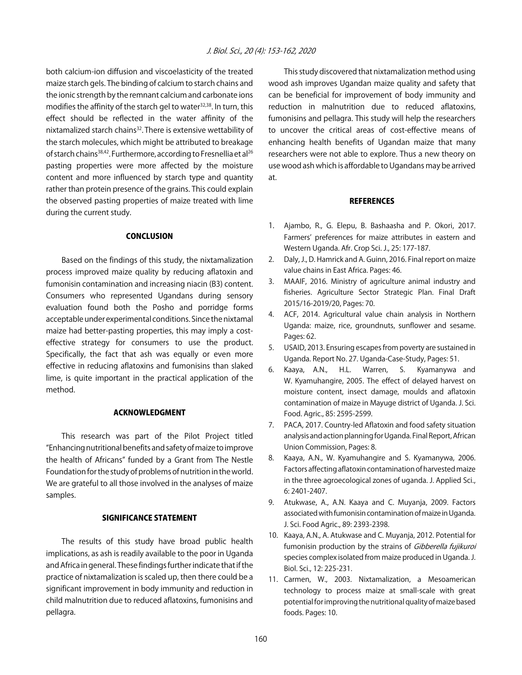both calcium-ion diffusion and viscoelasticity of the treated maize starch gels. The binding of calcium to starch chains and the ionic strength by the remnant calcium and carbonate ions modifies the affinity of the starch gel to water<sup>32,38</sup>. In turn, this effect should be reflected in the water affinity of the nixtamalized starch chains<sup>32</sup>. There is extensive wettability of the starch molecules, which might be attributed to breakage of starch chains<sup>38,42</sup>. Furthermore, according to Fresnellia et al<sup>26</sup> pasting properties were more affected by the moisture content and more influenced by starch type and quantity rather than protein presence of the grains. This could explain the observed pasting properties of maize treated with lime during the current study.

#### **CONCLUSION**

Based on the findings of this study, the nixtamalization process improved maize quality by reducing aflatoxin and fumonisin contamination and increasing niacin (B3) content. Consumers who represented Ugandans during sensory evaluation found both the Posho and porridge forms acceptable under experimental conditions. Since the nixtamal maize had better-pasting properties, this may imply a costeffective strategy for consumers to use the product. Specifically, the fact that ash was equally or even more effective in reducing aflatoxins and fumonisins than slaked lime, is quite important in the practical application of the method.

#### ACKNOWLEDGMENT

This research was part of the Pilot Project titled "Enhancing nutritional benefits and safety of maize to improve the health of Africans" funded by a Grant from The Nestle Foundation for the study of problems of nutrition in the world. We are grateful to all those involved in the analyses of maize samples.

#### SIGNIFICANCE STATEMENT

The results of this study have broad public health implications, as ash is readily available to the poor in Uganda and Africa in general. These findings further indicate that if the practice of nixtamalization is scaled up, then there could be a significant improvement in body immunity and reduction in child malnutrition due to reduced aflatoxins, fumonisins and pellagra.

This study discovered that nixtamalization method using wood ash improves Ugandan maize quality and safety that can be beneficial for improvement of body immunity and reduction in malnutrition due to reduced aflatoxins, fumonisins and pellagra. This study will help the researchers to uncover the critical areas of cost-effective means of enhancing health benefits of Ugandan maize that many researchers were not able to explore. Thus a new theory on use wood ash which is affordable to Ugandans may be arrived at.

#### **REFERENCES**

- 1. Ajambo, R., G. Elepu, B. Bashaasha and P. Okori, 2017. Farmers' preferences for maize attributes in eastern and Western Uganda. Afr. Crop Sci. J., 25: 177-187.
- 2. Daly, J., D. Hamrick and A. Guinn, 2016. Final report on maize value chains in East Africa. Pages: 46.
- 3. MAAIF, 2016. Ministry of agriculture animal industry and fisheries. Agriculture Sector Strategic Plan. Final Draft 2015/16-2019/20, Pages: 70.
- 4. ACF, 2014. Agricultural value chain analysis in Northern Uganda: maize, rice, groundnuts, sunflower and sesame. Pages: 62.
- 5. USAID, 2013. Ensuring escapes from poverty are sustained in Uganda. Report No. 27. Uganda-Case-Study, Pages: 51.
- 6. Kaaya, A.N., H.L. Warren, S. Kyamanywa and W. Kyamuhangire, 2005. The effect of delayed harvest on moisture content, insect damage, moulds and aflatoxin contamination of maize in Mayuge district of Uganda. J. Sci. Food. Agric., 85: 2595-2599.
- 7. PACA, 2017. Country-led Aflatoxin and food safety situation analysis and action planning for Uganda. Final Report, African Union Commission, Pages: 8.
- 8. Kaaya, A.N., W. Kyamuhangire and S. Kyamanywa, 2006. Factors affecting aflatoxin contamination of harvested maize in the three agroecological zones of uganda. J. Applied Sci., 6: 2401-2407.
- 9. Atukwase, A., A.N. Kaaya and C. Muyanja, 2009. Factors associated with fumonisin contamination of maize in Uganda. J. Sci. Food Agric., 89: 2393-2398.
- 10. Kaaya, A.N., A. Atukwase and C. Muyanja, 2012. Potential for fumonisin production by the strains of Gibberella fujikuroi species complex isolated from maize produced in Uganda. J. Biol. Sci., 12: 225-231.
- 11. Carmen, W., 2003. Nixtamalization, a Mesoamerican technology to process maize at small-scale with great potential for improving the nutritional quality of maize based foods. Pages: 10.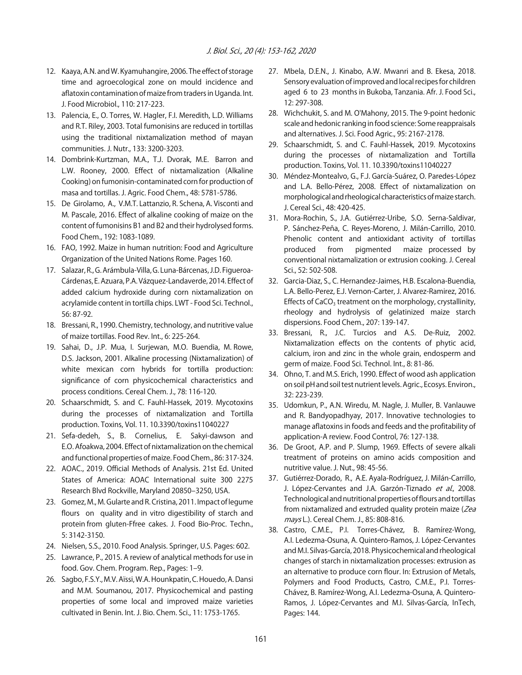- 12. Kaaya, A.N. and W. Kyamuhangire, 2006. The effect of storage time and agroecological zone on mould incidence and aflatoxin contamination of maize from traders in Uganda. Int. J. Food Microbiol., 110: 217-223.
- 13. Palencia, E., O. Torres, W. Hagler, F.I. Meredith, L.D. Williams and R.T. Riley, 2003. Total fumonisins are reduced in tortillas using the traditional nixtamalization method of mayan communities. J. Nutr., 133: 3200-3203.
- 14. Dombrink-Kurtzman, M.A., T.J. Dvorak, M.E. Barron and L.W. Rooney, 2000. Effect of nixtamalization (Alkaline Cooking) on fumonisin-contaminated corn for production of masa and tortillas. J. Agric. Food Chem., 48: 5781-5786.
- 15. De Girolamo, A., V.M.T. Lattanzio, R. Schena, A. Visconti and M. Pascale, 2016. Effect of alkaline cooking of maize on the content of fumonisins B1 and B2 and their hydrolysed forms. Food Chem., 192: 1083-1089.
- 16. FAO, 1992. Maize in human nutrition: Food and Agriculture Organization of the United Nations Rome. Pages 160.
- 17. Salazar, R., G. Arámbula-Villa, G. Luna-Bárcenas, J.D. Figueroa-Cárdenas, E. Azuara, P.A. Vázquez-Landaverde, 2014. Effect of added calcium hydroxide during corn nixtamalization on acrylamide content in tortilla chips. LWT - Food Sci. Technol., 56: 87-92.
- 18. Bressani, R., 1990. Chemistry, technology, and nutritive value of maize tortillas. Food Rev. Int., 6: 225-264.
- 19. Sahai, D., J.P. Mua, I. Surjewan, M.O. Buendia, M. Rowe, D.S. Jackson, 2001. Alkaline processing (Nixtamalization) of white mexican corn hybrids for tortilla production: significance of corn physicochemical characteristics and process conditions. Cereal Chem. J., 78: 116-120.
- 20. Schaarschmidt, S. and C. Fauhl-Hassek, 2019. Mycotoxins during the processes of nixtamalization and Tortilla production. Toxins, Vol. 11. 10.3390/toxins11040227
- 21. Sefa-dedeh, S., B. Cornelius, E. Sakyi-dawson and E.O. Afoakwa, 2004. Effect of nixtamalization on the chemical and functional properties of maize. Food Chem., 86: 317-324.
- 22. AOAC., 2019. Official Methods of Analysis. 21st Ed. United States of America: AOAC International suite 300 2275 Research Blvd Rockville, Maryland 20850-3250, USA.
- 23. Gomez, M., M. Gularte and R. Cristina, 2011. Impact of legume flours on quality and in vitro digestibility of starch and protein from gluten-Ffree cakes. J. Food Bio-Proc. Techn., 5: 3142-3150.
- 24. Nielsen, S.S., 2010. Food Analysis. Springer, U.S. Pages: 602.
- 25. Lawrance, P., 2015. A review of analytical methods for use in food. Gov. Chem. Program. Rep., Pages: 1-9.
- 26. Sagbo, F.S.Y., M.V. Aïssi, W.A. Hounkpatin, C. Houedo, A. Dansi and M.M. Soumanou, 2017. Physicochemical and pasting properties of some local and improved maize varieties cultivated in Benin. Int. J. Bio. Chem. Sci., 11: 1753-1765.
- 27. Mbela, D.E.N., J. Kinabo, A.W. Mwanri and B. Ekesa, 2018. Sensory evaluation of improved and local recipes for children aged 6 to 23 months in Bukoba, Tanzania. Afr. J. Food Sci., 12: 297-308.
- 28. Wichchukit, S. and M. O'Mahony, 2015. The 9-point hedonic scale and hedonic ranking in food science: Some reappraisals and alternatives. J. Sci. Food Agric., 95: 2167-2178.
- 29. Schaarschmidt, S. and C. Fauhl-Hassek, 2019. Mycotoxins during the processes of nixtamalization and Tortilla production. Toxins, Vol. 11. 10.3390/toxins11040227
- 30. Méndez-Montealvo, G., F.J. García-Suárez, O. Paredes-López and L.A. Bello-Pérez, 2008. Effect of nixtamalization on morphological and rheological characteristics of maize starch. J. Cereal Sci., 48: 420-425.
- 31. Mora-Rochin, S., J.A. Gutiérrez-Uribe, S.O. Serna-Saldivar, P. Sánchez-Peña, C. Reyes-Moreno, J. Milán-Carrillo, 2010. Phenolic content and antioxidant activity of tortillas produced from pigmented maize processed by conventional nixtamalization or extrusion cooking. J. Cereal Sci., 52: 502-508.
- 32. Garcia-Diaz, S., C. Hernandez-Jaimes, H.B. Escalona-Buendia, L.A. Bello-Perez, E.J. Vernon-Carter, J. Alvarez-Ramirez, 2016. Effects of  $CaCO<sub>3</sub>$  treatment on the morphology, crystallinity, rheology and hydrolysis of gelatinized maize starch dispersions. Food Chem., 207: 139-147.
- 33. Bressani, R., J.C. Turcios and A.S. De-Ruiz, 2002. Nixtamalization effects on the contents of phytic acid, calcium, iron and zinc in the whole grain, endosperm and germ of maize. Food Sci. Technol. Int., 8: 81-86.
- 34. Ohno, T. and M.S. Erich, 1990. Effect of wood ash application on soil pH and soil test nutrient levels. Agric., Ecosys. Environ., 32: 223-239.
- 35. Udomkun, P., A.N. Wiredu, M. Nagle, J. Muller, B. Vanlauwe and R. Bandyopadhyay, 2017. Innovative technologies to manage aflatoxins in foods and feeds and the profitability of application-A review. Food Control, 76: 127-138.
- 36. De Groot, A.P. and P. Slump, 1969. Effects of severe alkali treatment of proteins on amino acids composition and nutritive value. J. Nut., 98: 45-56.
- 37. Gutiérrez-Dorado, R., A.E. Ayala-Rodríguez, J. Milán-Carrillo, J. López-Cervantes and J.A. Garzón-Tiznado et al., 2008. Technological and nutritional properties of flours and tortillas from nixtamalized and extruded quality protein maize (Zea mays L.). Cereal Chem. J., 85: 808-816.
- 38. Castro, C.M.E., P.I. Torres-Chávez, B. Ramírez-Wong, A.I. Ledezma-Osuna, A. Quintero-Ramos, J. López-Cervantes and M.I. Silvas-García, 2018. Physicochemical and rheological changes of starch in nixtamalization processes: extrusion as an alternative to produce corn flour. In: Extrusion of Metals, Polymers and Food Products, Castro, C.M.E., P.I. Torres-Chávez, B. Ramírez-Wong, A.I. Ledezma-Osuna, A. Quintero-Ramos, J. López-Cervantes and M.I. Silvas-García, InTech, Pages: 144.